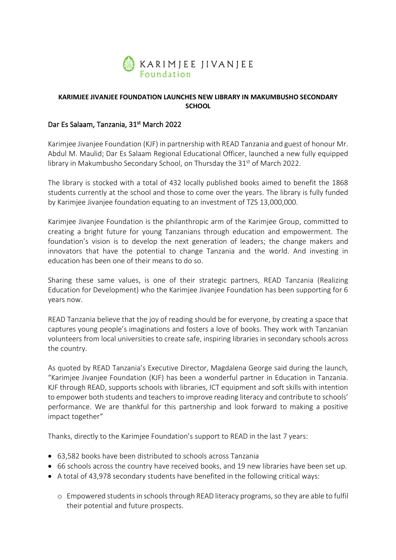

## **KARIMJEE JIVANJEE FOUNDATION LAUNCHES NEW LIBRARY IN MAKUMBUSHO SECONDARY SCHOOL**

## Dar Es Salaam, Tanzania, 31<sup>st</sup> March 2022

Karimjee Jivanjee Foundation (KJF) in partnership with READ Tanzania and guest of honour Mr. Abdul M. Maulid; Dar Es Salaam Regional Educational Officer, launched a new fully equipped library in Makumbusho Secondary School, on Thursday the 31<sup>st</sup> of March 2022.

The library is stocked with a total of 432 locally published books aimed to benefit the 1868 students currently at the school and those to come over the years. The library is fully funded by Karimjee Jivanjee foundation equating to an investment of TZS 13,000,000.

Karimjee Jivanjee Foundation is the philanthropic arm of the Karimjee Group, committed to creating a bright future for young Tanzanians through education and empowerment. The foundation's vision is to develop the next generation of leaders; the change makers and innovators that have the potential to change Tanzania and the world. And investing in education has been one of their means to do so.

Sharing these same values, is one of their strategic partners, READ Tanzania (Realizing Education for Development) who the Karimjee Jivanjee Foundation has been supporting for 6 years now.

READ Tanzania believe that the joy of reading should be for everyone, by creating a space that captures young people's imaginations and fosters a love of books. They work with Tanzanian volunteers from local universities to create safe, inspiring libraries in secondary schools across the country.

As quoted by READ Tanzania's Executive Director, Magdalena George said during the launch, "Karimjee Jivanjee Foundation (KJF) has been a wonderful partner in Education in Tanzania. KJF through READ, supports schools with libraries, ICT equipment and soft skills with intention to empower both students and teachers to improve reading literacy and contribute to schools' performance. We are thankful for this partnership and look forward to making a positive impact together"

Thanks, directly to the Karimjee Foundation's support to READ in the last 7 years:

- 63,582 books have been distributed to schools across Tanzania
- 66 schools across the country have received books, and 19 new libraries have been set up.
- A total of 43,978 secondary students have benefited in the following critical ways:
	- o Empowered students in schools through READ literacy programs, so they are able to fulfil their potential and future prospects.